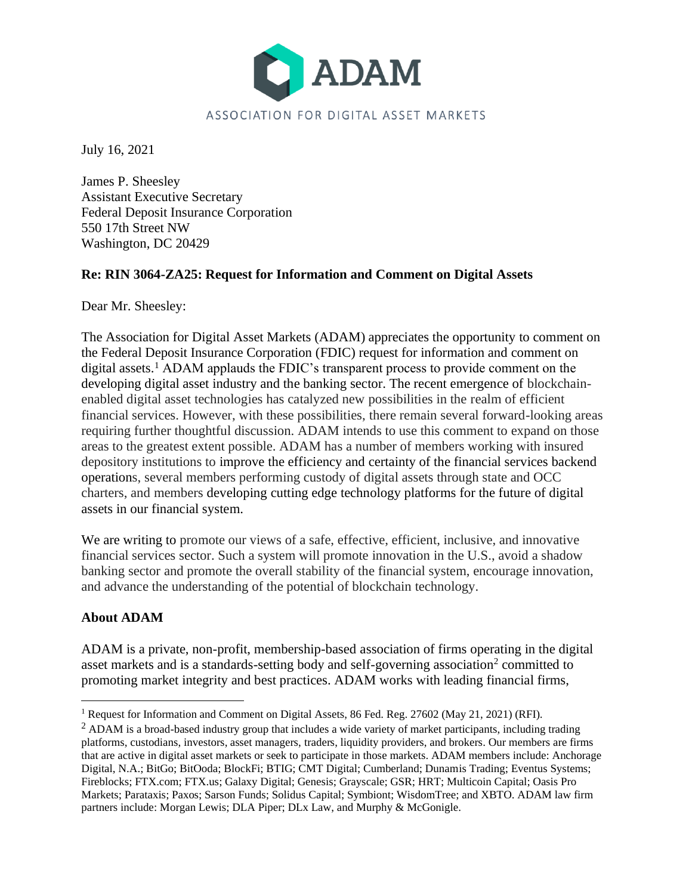

July 16, 2021

James P. Sheesley Assistant Executive Secretary Federal Deposit Insurance Corporation 550 17th Street NW Washington, DC 20429

## **Re: RIN 3064-ZA25: Request for Information and Comment on Digital Assets**

Dear Mr. Sheesley:

The Association for Digital Asset Markets (ADAM) appreciates the opportunity to comment on the Federal Deposit Insurance Corporation (FDIC) request for information and comment on digital assets.<sup>1</sup> ADAM applauds the FDIC's transparent process to provide comment on the developing digital asset industry and the banking sector. The recent emergence of blockchainenabled digital asset technologies has catalyzed new possibilities in the realm of efficient financial services. However, with these possibilities, there remain several forward-looking areas requiring further thoughtful discussion. ADAM intends to use this comment to expand on those areas to the greatest extent possible. ADAM has a number of members working with insured depository institutions to improve the efficiency and certainty of the financial services backend operations, several members performing custody of digital assets through state and OCC charters, and members developing cutting edge technology platforms for the future of digital assets in our financial system.

We are writing to promote our views of a safe, effective, efficient, inclusive, and innovative financial services sector. Such a system will promote innovation in the U.S., avoid a shadow banking sector and promote the overall stability of the financial system, encourage innovation, and advance the understanding of the potential of blockchain technology.

# **About ADAM**

ADAM is a private, non-profit, membership-based association of firms operating in the digital asset markets and is a standards-setting body and self-governing association<sup>2</sup> committed to promoting market integrity and best practices. ADAM works with leading financial firms,

<sup>&</sup>lt;sup>1</sup> Request for Information and Comment on Digital Assets, 86 Fed. Reg. 27602 (May 21, 2021) (RFI).

<sup>&</sup>lt;sup>2</sup> ADAM is a broad-based industry group that includes a wide variety of market participants, including trading platforms, custodians, investors, asset managers, traders, liquidity providers, and brokers. Our members are firms that are active in digital asset markets or seek to participate in those markets. ADAM members include: Anchorage Digital, N.A.; BitGo; BitOoda; BlockFi; BTIG; CMT Digital; Cumberland; Dunamis Trading; Eventus Systems; Fireblocks; FTX.com; FTX.us; Galaxy Digital; Genesis; Grayscale; GSR; HRT; Multicoin Capital; Oasis Pro Markets; Parataxis; Paxos; Sarson Funds; Solidus Capital; Symbiont; WisdomTree; and XBTO. ADAM law firm partners include: Morgan Lewis; DLA Piper; DLx Law, and Murphy & McGonigle.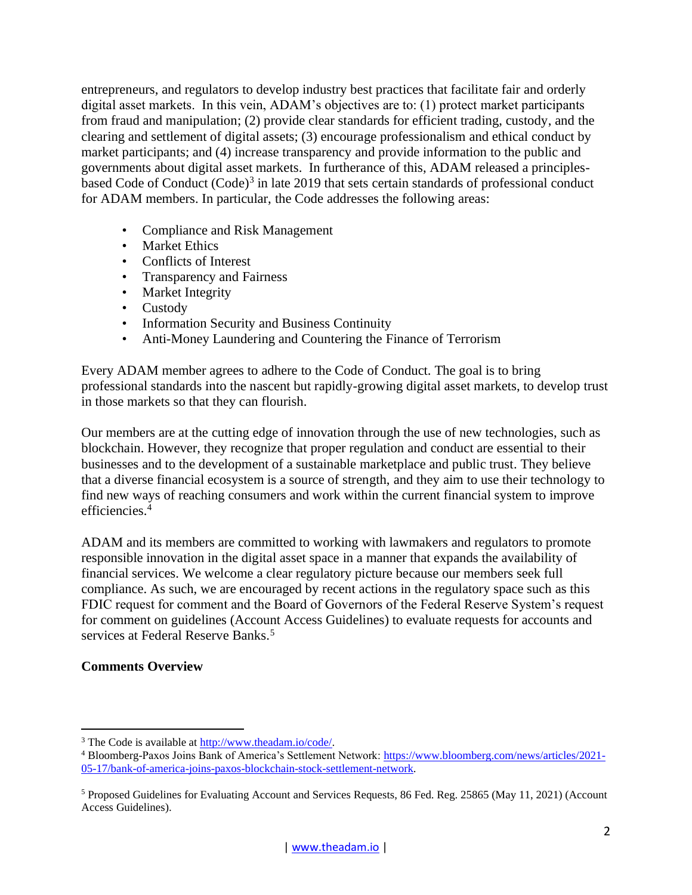entrepreneurs, and regulators to develop industry best practices that facilitate fair and orderly digital asset markets. In this vein, ADAM's objectives are to: (1) protect market participants from fraud and manipulation; (2) provide clear standards for efficient trading, custody, and the clearing and settlement of digital assets; (3) encourage professionalism and ethical conduct by market participants; and (4) increase transparency and provide information to the public and governments about digital asset markets. In furtherance of this, ADAM released a principlesbased Code of Conduct (Code)<sup>3</sup> in late 2019 that sets certain standards of professional conduct for ADAM members. In particular, the Code addresses the following areas:

- Compliance and Risk Management
- Market Ethics
- Conflicts of Interest
- Transparency and Fairness
- Market Integrity
- Custody
- Information Security and Business Continuity
- Anti-Money Laundering and Countering the Finance of Terrorism

Every ADAM member agrees to adhere to the Code of Conduct. The goal is to bring professional standards into the nascent but rapidly-growing digital asset markets, to develop trust in those markets so that they can flourish.

Our members are at the cutting edge of innovation through the use of new technologies, such as blockchain. However, they recognize that proper regulation and conduct are essential to their businesses and to the development of a sustainable marketplace and public trust. They believe that a diverse financial ecosystem is a source of strength, and they aim to use their technology to find new ways of reaching consumers and work within the current financial system to improve efficiencies.<sup>4</sup>

ADAM and its members are committed to working with lawmakers and regulators to promote responsible innovation in the digital asset space in a manner that expands the availability of financial services. We welcome a clear regulatory picture because our members seek full compliance. As such, we are encouraged by recent actions in the regulatory space such as this FDIC request for comment and the Board of Governors of the Federal Reserve System's request for comment on guidelines (Account Access Guidelines) to evaluate requests for accounts and services at Federal Reserve Banks.<sup>5</sup>

### **Comments Overview**

<sup>3</sup> The Code is available at [http://www.theadam.io/code/.](http://www.theadam.io/code/)

<sup>4</sup> Bloomberg-Paxos Joins Bank of America's Settlement Network: [https://www.bloomberg.com/news/articles/2021-](https://www.bloomberg.com/news/articles/2021-05-17/bank-of-america-joins-paxos-blockchain-stock-settlement-network) [05-17/bank-of-america-joins-paxos-blockchain-stock-settlement-network.](https://www.bloomberg.com/news/articles/2021-05-17/bank-of-america-joins-paxos-blockchain-stock-settlement-network)

<sup>5</sup> Proposed Guidelines for Evaluating Account and Services Requests, 86 Fed. Reg. 25865 (May 11, 2021) (Account Access Guidelines).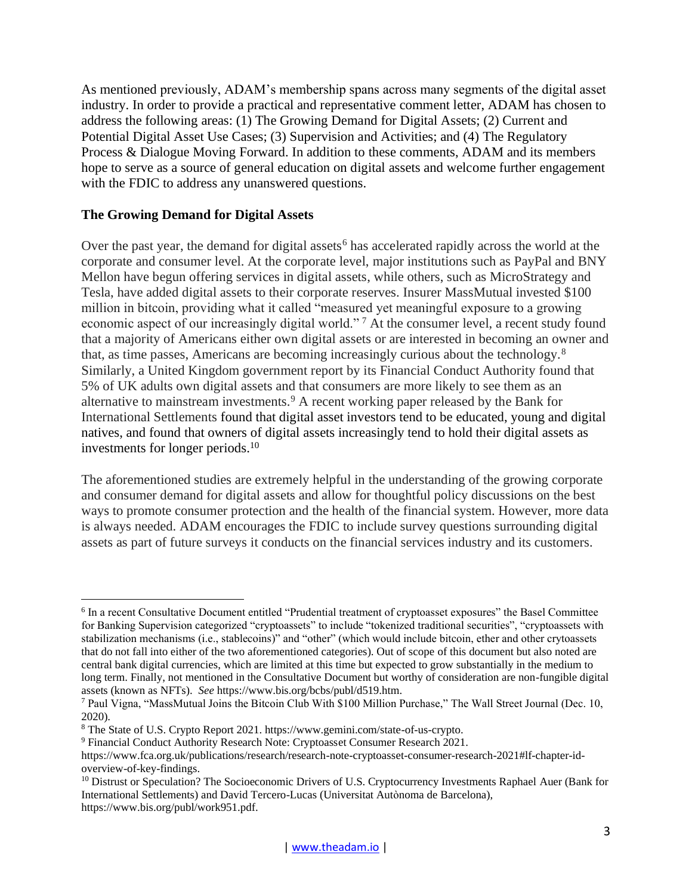As mentioned previously, ADAM's membership spans across many segments of the digital asset industry. In order to provide a practical and representative comment letter, ADAM has chosen to address the following areas: (1) The Growing Demand for Digital Assets; (2) Current and Potential Digital Asset Use Cases; (3) Supervision and Activities; and (4) The Regulatory Process & Dialogue Moving Forward. In addition to these comments, ADAM and its members hope to serve as a source of general education on digital assets and welcome further engagement with the FDIC to address any unanswered questions.

## **The Growing Demand for Digital Assets**

Over the past year, the demand for digital assets<sup>6</sup> has accelerated rapidly across the world at the corporate and consumer level. At the corporate level, major institutions such as PayPal and BNY Mellon have begun offering services in digital assets, while others, such as MicroStrategy and Tesla, have added digital assets to their corporate reserves. Insurer MassMutual invested \$100 million in bitcoin, providing what it called "measured yet meaningful exposure to a growing economic aspect of our increasingly digital world." <sup>7</sup> At the consumer level, a recent study found that a majority of Americans either own digital assets or are interested in becoming an owner and that, as time passes, Americans are becoming increasingly curious about the technology.<sup>8</sup> Similarly, a United Kingdom government report by its Financial Conduct Authority found that 5% of UK adults own digital assets and that consumers are more likely to see them as an alternative to mainstream investments.<sup>9</sup> A recent working paper released by the Bank for International Settlements found that digital asset investors tend to be educated, young and digital natives, and found that owners of digital assets increasingly tend to hold their digital assets as investments for longer periods.<sup>10</sup>

The aforementioned studies are extremely helpful in the understanding of the growing corporate and consumer demand for digital assets and allow for thoughtful policy discussions on the best ways to promote consumer protection and the health of the financial system. However, more data is always needed. ADAM encourages the FDIC to include survey questions surrounding digital assets as part of future surveys it conducts on the financial services industry and its customers.

<sup>6</sup> In a recent Consultative Document entitled "Prudential treatment of cryptoasset exposures" the Basel Committee for Banking Supervision categorized "cryptoassets" to include "tokenized traditional securities", "cryptoassets with stabilization mechanisms (i.e., stablecoins)" and "other" (which would include bitcoin, ether and other crytoassets that do not fall into either of the two aforementioned categories). Out of scope of this document but also noted are central bank digital currencies, which are limited at this time but expected to grow substantially in the medium to long term. Finally, not mentioned in the Consultative Document but worthy of consideration are non-fungible digital assets (known as NFTs). *See* https://www.bis.org/bcbs/publ/d519.htm.

<sup>7</sup> Paul Vigna, "MassMutual Joins the Bitcoin Club With \$100 Million Purchase," The Wall Street Journal (Dec. 10, 2020).

<sup>8</sup> The State of U.S. Crypto Report 2021. https://www.gemini.com/state-of-us-crypto.

<sup>9</sup> Financial Conduct Authority Research Note: Cryptoasset Consumer Research 2021.

https://www.fca.org.uk/publications/research/research-note-cryptoasset-consumer-research-2021#lf-chapter-idoverview-of-key-findings.

<sup>&</sup>lt;sup>10</sup> Distrust or Speculation? The Socioeconomic Drivers of U.S. Cryptocurrency Investments Raphael Auer (Bank for International Settlements) and David Tercero-Lucas (Universitat Autònoma de Barcelona), https://www.bis.org/publ/work951.pdf.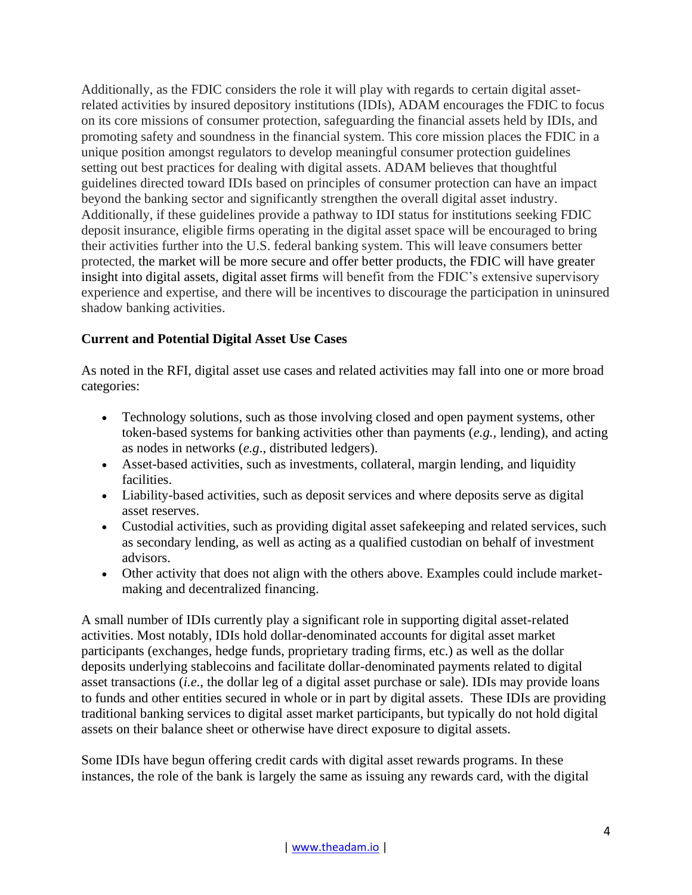Additionally, as the FDIC considers the role it will play with regards to certain digital assetrelated activities by insured depository institutions (IDIs), ADAM encourages the FDIC to focus on its core missions of consumer protection, safeguarding the financial assets held by IDIs, and promoting safety and soundness in the financial system. This core mission places the FDIC in a unique position amongst regulators to develop meaningful consumer protection guidelines setting out best practices for dealing with digital assets. ADAM believes that thoughtful guidelines directed toward IDIs based on principles of consumer protection can have an impact beyond the banking sector and significantly strengthen the overall digital asset industry. Additionally, if these guidelines provide a pathway to IDI status for institutions seeking FDIC deposit insurance, eligible firms operating in the digital asset space will be encouraged to bring their activities further into the U.S. federal banking system. This will leave consumers better protected, the market will be more secure and offer better products, the FDIC will have greater insight into digital assets, digital asset firms will benefit from the FDIC's extensive supervisory experience and expertise, and there will be incentives to discourage the participation in uninsured shadow banking activities.

# **Current and Potential Digital Asset Use Cases**

As noted in the RFI, digital asset use cases and related activities may fall into one or more broad categories:

- Technology solutions, such as those involving closed and open payment systems, other token-based systems for banking activities other than payments (*e.g.,* lending), and acting as nodes in networks (*e.g*., distributed ledgers).
- Asset-based activities, such as investments, collateral, margin lending, and liquidity facilities.
- Liability-based activities, such as deposit services and where deposits serve as digital asset reserves.
- Custodial activities, such as providing digital asset safekeeping and related services, such as secondary lending, as well as acting as a qualified custodian on behalf of investment advisors.
- Other activity that does not align with the others above. Examples could include marketmaking and decentralized financing.

A small number of IDIs currently play a significant role in supporting digital asset-related activities. Most notably, IDIs hold dollar-denominated accounts for digital asset market participants (exchanges, hedge funds, proprietary trading firms, etc.) as well as the dollar deposits underlying stablecoins and facilitate dollar-denominated payments related to digital asset transactions (*i.e*., the dollar leg of a digital asset purchase or sale). IDIs may provide loans to funds and other entities secured in whole or in part by digital assets. These IDIs are providing traditional banking services to digital asset market participants, but typically do not hold digital assets on their balance sheet or otherwise have direct exposure to digital assets.

Some IDIs have begun offering credit cards with digital asset rewards programs. In these instances, the role of the bank is largely the same as issuing any rewards card, with the digital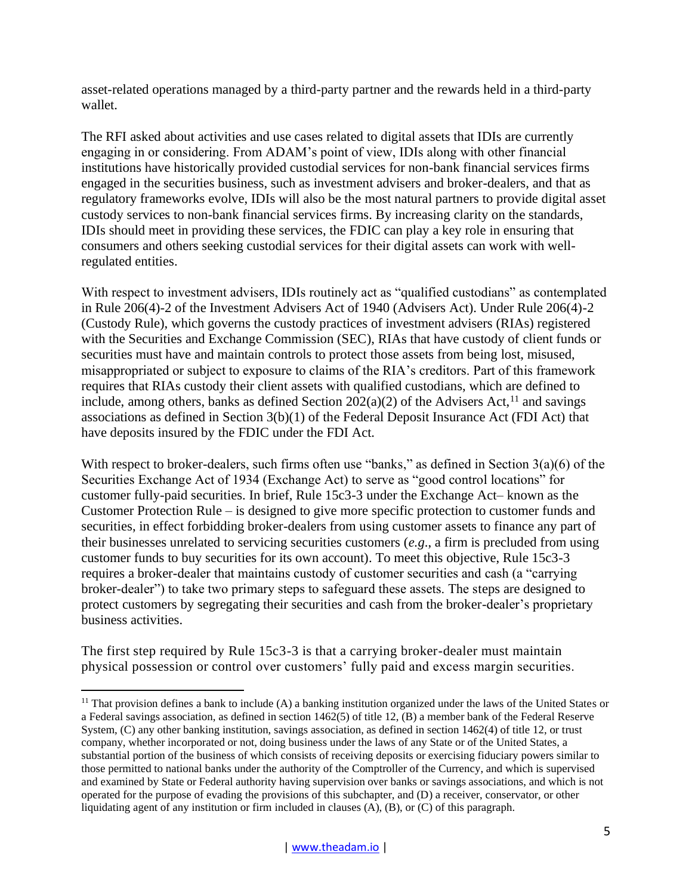asset-related operations managed by a third-party partner and the rewards held in a third-party wallet.

The RFI asked about activities and use cases related to digital assets that IDIs are currently engaging in or considering. From ADAM's point of view, IDIs along with other financial institutions have historically provided custodial services for non-bank financial services firms engaged in the securities business, such as investment advisers and broker-dealers, and that as regulatory frameworks evolve, IDIs will also be the most natural partners to provide digital asset custody services to non-bank financial services firms. By increasing clarity on the standards, IDIs should meet in providing these services, the FDIC can play a key role in ensuring that consumers and others seeking custodial services for their digital assets can work with wellregulated entities.

With respect to investment advisers, IDIs routinely act as "qualified custodians" as contemplated in Rule 206(4)-2 of the Investment Advisers Act of 1940 (Advisers Act). Under Rule 206(4)-2 (Custody Rule), which governs the custody practices of investment advisers (RIAs) registered with the Securities and Exchange Commission (SEC), RIAs that have custody of client funds or securities must have and maintain controls to protect those assets from being lost, misused, misappropriated or subject to exposure to claims of the RIA's creditors. Part of this framework requires that RIAs custody their client assets with qualified custodians, which are defined to include, among others, banks as defined Section  $202(a)(2)$  of the Advisers Act,<sup>11</sup> and savings associations as defined in Section 3(b)(1) of the Federal Deposit Insurance Act (FDI Act) that have deposits insured by the FDIC under the FDI Act.

With respect to broker-dealers, such firms often use "banks," as defined in Section 3(a)(6) of the Securities Exchange Act of 1934 (Exchange Act) to serve as "good control locations" for customer fully-paid securities. In brief, Rule 15c3-3 under the Exchange Act– known as the Customer Protection Rule – is designed to give more specific protection to customer funds and securities, in effect forbidding broker-dealers from using customer assets to finance any part of their businesses unrelated to servicing securities customers (*e.g*., a firm is precluded from using customer funds to buy securities for its own account). To meet this objective, Rule 15c3-3 requires a broker-dealer that maintains custody of customer securities and cash (a "carrying broker-dealer") to take two primary steps to safeguard these assets. The steps are designed to protect customers by segregating their securities and cash from the broker-dealer's proprietary business activities.

The first step required by Rule 15c3-3 is that a carrying broker-dealer must maintain physical possession or control over customers' fully paid and excess margin securities.

<sup>&</sup>lt;sup>11</sup> That provision defines a bank to include (A) a banking institution organized under the laws of the United States or a Federal savings association, as defined in section 1462(5) of title 12, (B) a member bank of the Federal Reserve System, (C) any other banking institution, savings association, as defined in section 1462(4) of title 12, or trust company, whether incorporated or not, doing business under the laws of any State or of the United States, a substantial portion of the business of which consists of receiving deposits or exercising fiduciary powers similar to those permitted to national banks under the authority of the Comptroller of the Currency, and which is supervised and examined by State or Federal authority having supervision over banks or savings associations, and which is not operated for the purpose of evading the provisions of this subchapter, and (D) a receiver, conservator, or other liquidating agent of any institution or firm included in clauses (A), (B), or (C) of this paragraph.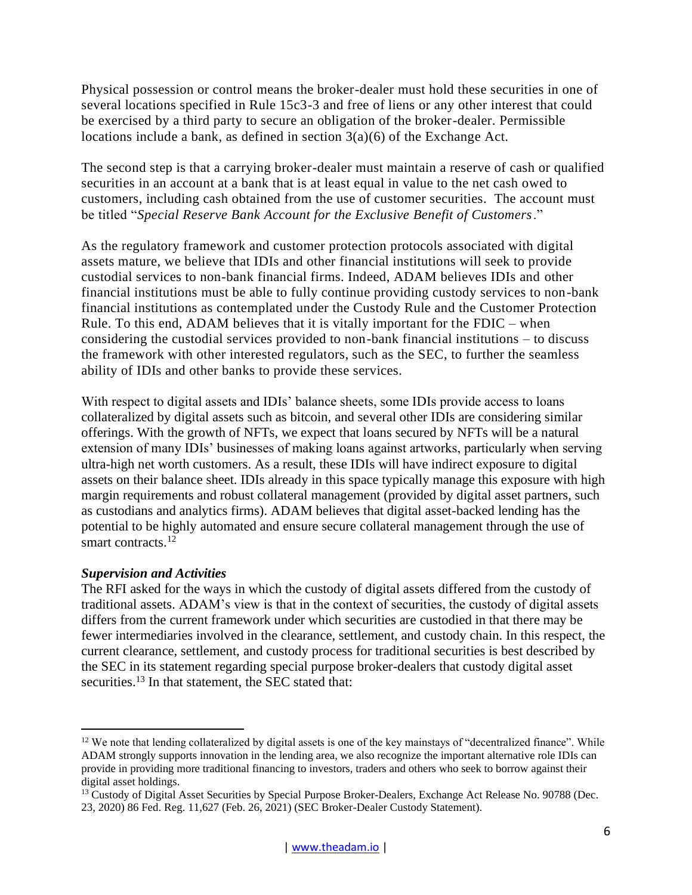Physical possession or control means the broker-dealer must hold these securities in one of several locations specified in Rule 15c3-3 and free of liens or any other interest that could be exercised by a third party to secure an obligation of the broker-dealer. Permissible locations include a bank, as defined in section  $3(a)(6)$  of the Exchange Act.

The second step is that a carrying broker-dealer must maintain a reserve of cash or qualified securities in an account at a bank that is at least equal in value to the net cash owed to customers, including cash obtained from the use of customer securities. The account must be titled "*Special Reserve Bank Account for the Exclusive Benefit of Customers*."

As the regulatory framework and customer protection protocols associated with digital assets mature, we believe that IDIs and other financial institutions will seek to provide custodial services to non-bank financial firms. Indeed, ADAM believes IDIs and other financial institutions must be able to fully continue providing custody services to non-bank financial institutions as contemplated under the Custody Rule and the Customer Protection Rule. To this end, ADAM believes that it is vitally important for the FDIC – when considering the custodial services provided to non-bank financial institutions – to discuss the framework with other interested regulators, such as the SEC, to further the seamless ability of IDIs and other banks to provide these services.

With respect to digital assets and IDIs' balance sheets, some IDIs provide access to loans collateralized by digital assets such as bitcoin, and several other IDIs are considering similar offerings. With the growth of NFTs, we expect that loans secured by NFTs will be a natural extension of many IDIs' businesses of making loans against artworks, particularly when serving ultra-high net worth customers. As a result, these IDIs will have indirect exposure to digital assets on their balance sheet. IDIs already in this space typically manage this exposure with high margin requirements and robust collateral management (provided by digital asset partners, such as custodians and analytics firms). ADAM believes that digital asset-backed lending has the potential to be highly automated and ensure secure collateral management through the use of smart contracts.<sup>12</sup>

### *Supervision and Activities*

The RFI asked for the ways in which the custody of digital assets differed from the custody of traditional assets. ADAM's view is that in the context of securities, the custody of digital assets differs from the current framework under which securities are custodied in that there may be fewer intermediaries involved in the clearance, settlement, and custody chain. In this respect, the current clearance, settlement, and custody process for traditional securities is best described by the SEC in its statement regarding special purpose broker-dealers that custody digital asset securities.<sup>13</sup> In that statement, the SEC stated that:

<sup>&</sup>lt;sup>12</sup> We note that lending collateralized by digital assets is one of the key mainstays of "decentralized finance". While ADAM strongly supports innovation in the lending area, we also recognize the important alternative role IDIs can provide in providing more traditional financing to investors, traders and others who seek to borrow against their digital asset holdings.

<sup>&</sup>lt;sup>13</sup> Custody of Digital Asset Securities by Special Purpose Broker-Dealers, Exchange Act Release No. 90788 (Dec. 23, 2020) 86 Fed. Reg. 11,627 (Feb. 26, 2021) (SEC Broker-Dealer Custody Statement).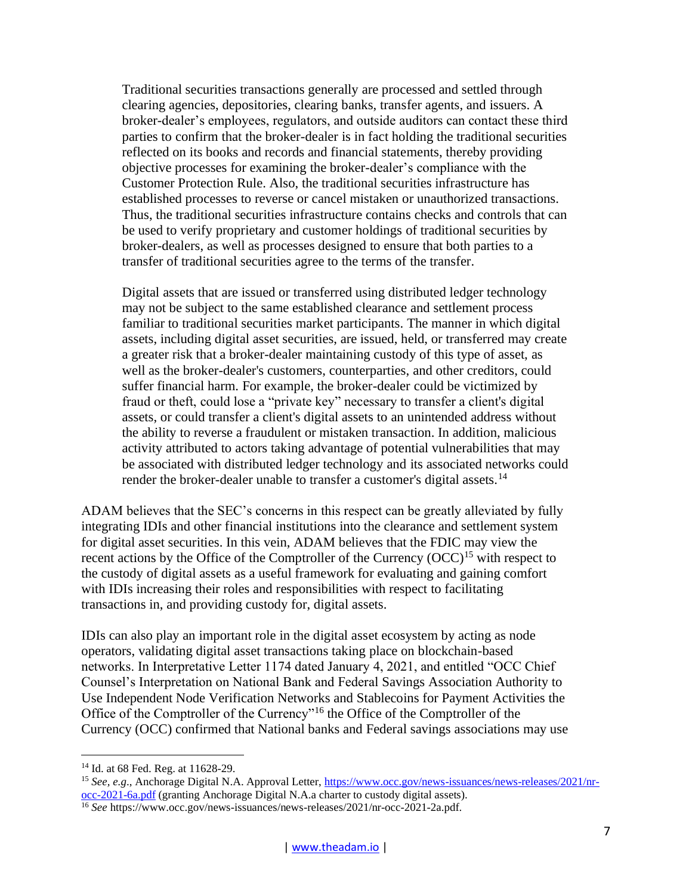Traditional securities transactions generally are processed and settled through clearing agencies, depositories, clearing banks, transfer agents, and issuers. A broker-dealer's employees, regulators, and outside auditors can contact these third parties to confirm that the broker-dealer is in fact holding the traditional securities reflected on its books and records and financial statements, thereby providing objective processes for examining the broker-dealer's compliance with the Customer Protection Rule. Also, the traditional securities infrastructure has established processes to reverse or cancel mistaken or unauthorized transactions. Thus, the traditional securities infrastructure contains checks and controls that can be used to verify proprietary and customer holdings of traditional securities by broker-dealers, as well as processes designed to ensure that both parties to a transfer of traditional securities agree to the terms of the transfer.

Digital assets that are issued or transferred using distributed ledger technology may not be subject to the same established clearance and settlement process familiar to traditional securities market participants. The manner in which digital assets, including digital asset securities, are issued, held, or transferred may create a greater risk that a broker-dealer maintaining custody of this type of asset, as well as the broker-dealer's customers, counterparties, and other creditors, could suffer financial harm. For example, the broker-dealer could be victimized by fraud or theft, could lose a "private key" necessary to transfer a client's digital assets, or could transfer a client's digital assets to an unintended address without the ability to reverse a fraudulent or mistaken transaction. In addition, malicious activity attributed to actors taking advantage of potential vulnerabilities that may be associated with distributed ledger technology and its associated networks could render the broker-dealer unable to transfer a customer's digital assets.<sup>14</sup>

ADAM believes that the SEC's concerns in this respect can be greatly alleviated by fully integrating IDIs and other financial institutions into the clearance and settlement system for digital asset securities. In this vein, ADAM believes that the FDIC may view the recent actions by the Office of the Comptroller of the Currency (OCC)<sup>15</sup> with respect to the custody of digital assets as a useful framework for evaluating and gaining comfort with IDIs increasing their roles and responsibilities with respect to facilitating transactions in, and providing custody for, digital assets.

IDIs can also play an important role in the digital asset ecosystem by acting as node operators, validating digital asset transactions taking place on blockchain-based networks. In Interpretative Letter 1174 dated January 4, 2021, and entitled "OCC Chief Counsel's Interpretation on National Bank and Federal Savings Association Authority to Use Independent Node Verification Networks and Stablecoins for Payment Activities the Office of the Comptroller of the Currency"<sup>16</sup> the Office of the Comptroller of the Currency (OCC) confirmed that National banks and Federal savings associations may use

<sup>&</sup>lt;sup>14</sup> Id. at 68 Fed. Reg. at 11628-29.

<sup>15</sup> *See, e.g*., Anchorage Digital N.A. Approval Letter, [https://www.occ.gov/news-issuances/news-releases/2021/nr](https://www.occ.gov/news-issuances/news-releases/2021/nr-occ-2021-6a.pdf)[occ-2021-6a.pdf](https://www.occ.gov/news-issuances/news-releases/2021/nr-occ-2021-6a.pdf) (granting Anchorage Digital N.A.a charter to custody digital assets).

<sup>16</sup> *See* https://www.occ.gov/news-issuances/news-releases/2021/nr-occ-2021-2a.pdf.